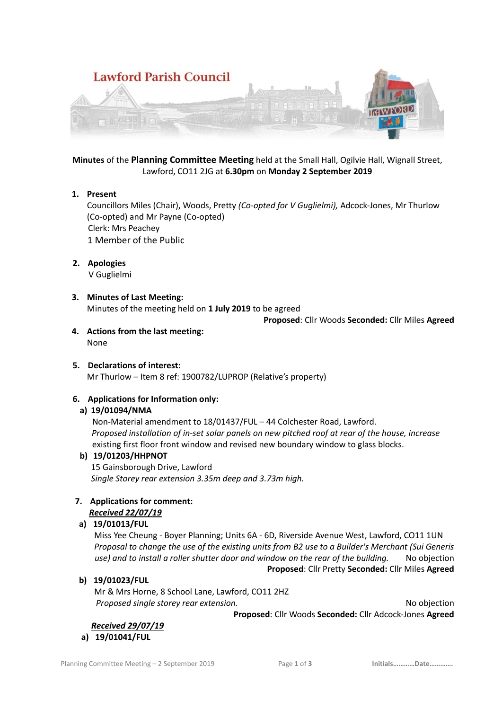

**Minutes** of the **Planning Committee Meeting** held at the Small Hall, Ogilvie Hall, Wignall Street, Lawford, CO11 2JG at **6.30pm** on **Monday 2 September 2019**

### **1. Present**

Councillors Miles (Chair), Woods, Pretty *(Co-opted for V Guglielmi),* Adcock-Jones, Mr Thurlow (Co-opted) and Mr Payne (Co-opted) Clerk: Mrs Peachey 1 Member of the Public

### **2. Apologies**

V Guglielmi

### **3. Minutes of Last Meeting:**

Minutes of the meeting held on **1 July 2019** to be agreed

**Proposed**: Cllr Woods **Seconded:** Cllr Miles **Agreed**

**4. Actions from the last meeting:** None

## **5. Declarations of interest:**

Mr Thurlow – Item 8 ref: 1900782/LUPROP (Relative's property)

## **6. Applications for Information only:**

## **a) 19/01094/NMA**

 Non-Material amendment to 18/01437/FUL – 44 Colchester Road, Lawford. *Proposed installation of in-set solar panels on new pitched roof at rear of the house, increase*  existing first floor front window and revised new boundary window to glass blocks.

#### **b) 19/01203/HHPNOT**

15 Gainsborough Drive, Lawford *Single Storey rear extension 3.35m deep and 3.73m high.*

#### **7. Applications for comment:** *Received 22/07/19*

## **a) 19/01013/FUL**

Miss Yee Cheung - Boyer Planning; Units 6A - 6D, Riverside Avenue West, Lawford, CO11 1UN *Proposal to change the use of the existing units from B2 use to a Builder's Merchant (Sui Generis use) and to install a roller shutter door and window on the rear of the building.* No objection **Proposed**: Cllr Pretty **Seconded:** Cllr Miles **Agreed**

#### **b) 19/01023/FUL**

Mr & Mrs Horne, 8 School Lane, Lawford, CO11 2HZ **Proposed single storey rear extension.** No objection No objection

**Proposed**: Cllr Woods **Seconded:** Cllr Adcock-Jones **Agreed**

*Received 29/07/19* 

## **a) 19/01041/FUL**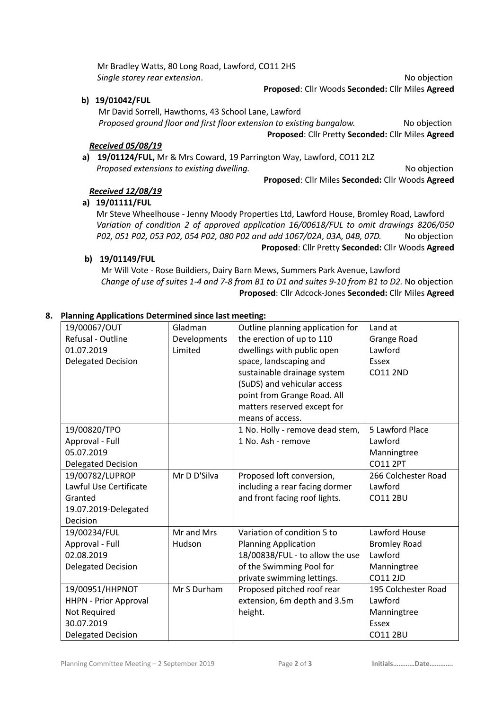Mr Bradley Watts, 80 Long Road, Lawford, CO11 2HS **Single storey rear extension.** No objection

**b) 19/01042/FUL**

Mr David Sorrell, Hawthorns, 43 School Lane, Lawford *Proposed ground floor and first floor extension to existing bungalow.* No objection **Proposed**: Cllr Pretty **Seconded:** Cllr Miles **Agreed**

### *Received 05/08/19*

**a) 19/01124/FUL,** Mr & Mrs Coward, 19 Parrington Way, Lawford, CO11 2LZ *Proposed extensions to existing dwelling.* No objection and the No objection and the No objection

**Proposed**: Cllr Miles **Seconded:** Cllr Woods **Agreed**

**Proposed**: Cllr Woods **Seconded:** Cllr Miles **Agreed**

### *Received 12/08/19*

# **a) 19/01111/FUL**

Mr Steve Wheelhouse - Jenny Moody Properties Ltd, Lawford House, Bromley Road, Lawford *Variation of condition 2 of approved application 16/00618/FUL to omit drawings 8206/050 P02, 051 P02, 053 P02, 054 P02, 080 P02 and add 1067/02A, 03A, 04B, 07D.* No objection **Proposed**: Cllr Pretty **Seconded:** Cllr Woods **Agreed**

### **b) 19/01149/FUL**

Mr Will Vote - Rose Buildiers, Dairy Barn Mews, Summers Park Avenue, Lawford *Change of use of suites 1-4 and 7-8 from B1 to D1 and suites 9-10 from B1 to D2.* No objection **Proposed**: Cllr Adcock-Jones **Seconded:** Cllr Miles **Agreed**

### **8. Planning Applications Determined since last meeting:**

| 19/00067/OUT                 | Gladman      | Outline planning application for | Land at             |
|------------------------------|--------------|----------------------------------|---------------------|
| Refusal - Outline            | Developments | the erection of up to 110        | Grange Road         |
| 01.07.2019                   | Limited      | dwellings with public open       | Lawford             |
| <b>Delegated Decision</b>    |              | space, landscaping and           | <b>Essex</b>        |
|                              |              | sustainable drainage system      | <b>CO11 2ND</b>     |
|                              |              | (SuDS) and vehicular access      |                     |
|                              |              | point from Grange Road. All      |                     |
|                              |              | matters reserved except for      |                     |
|                              |              | means of access.                 |                     |
| 19/00820/TPO                 |              | 1 No. Holly - remove dead stem,  | 5 Lawford Place     |
| Approval - Full              |              | 1 No. Ash - remove               | Lawford             |
| 05.07.2019                   |              |                                  | Manningtree         |
| <b>Delegated Decision</b>    |              |                                  | <b>CO11 2PT</b>     |
| 19/00782/LUPROP              | Mr D D'Silva | Proposed loft conversion,        | 266 Colchester Road |
| Lawful Use Certificate       |              | including a rear facing dormer   | Lawford             |
| Granted                      |              | and front facing roof lights.    | <b>CO11 2BU</b>     |
| 19.07.2019-Delegated         |              |                                  |                     |
| Decision                     |              |                                  |                     |
| 19/00234/FUL                 | Mr and Mrs   | Variation of condition 5 to      | Lawford House       |
| Approval - Full              | Hudson       | <b>Planning Application</b>      | <b>Bromley Road</b> |
| 02.08.2019                   |              | 18/00838/FUL - to allow the use  | Lawford             |
| <b>Delegated Decision</b>    |              | of the Swimming Pool for         | Manningtree         |
|                              |              | private swimming lettings.       | <b>CO11 2JD</b>     |
| 19/00951/HHPNOT              | Mr S Durham  | Proposed pitched roof rear       | 195 Colchester Road |
| <b>HHPN - Prior Approval</b> |              | extension, 6m depth and 3.5m     | Lawford             |
| Not Required                 |              | height.                          | Manningtree         |
| 30.07.2019                   |              |                                  | <b>Essex</b>        |
| <b>Delegated Decision</b>    |              |                                  | <b>CO11 2BU</b>     |